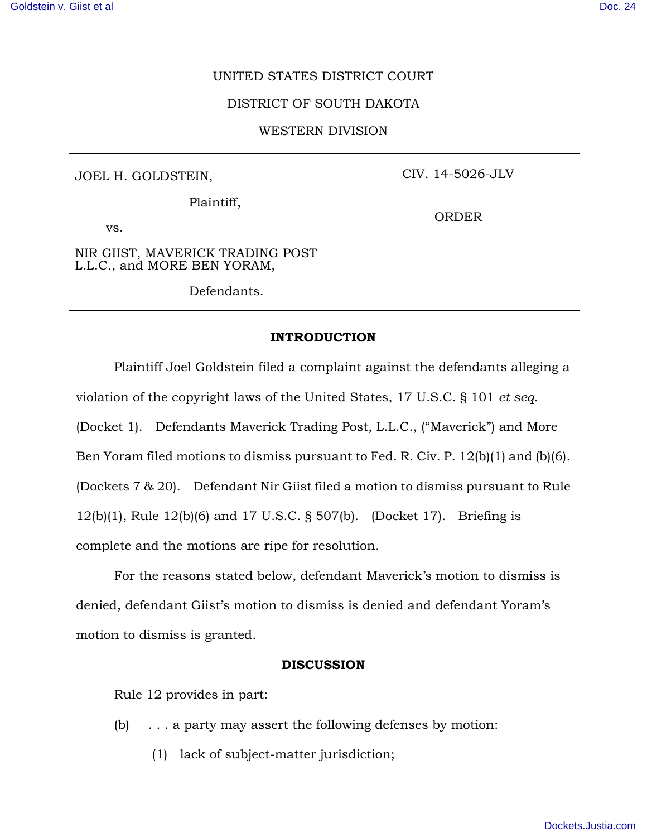# UNITED STATES DISTRICT COURT

## DISTRICT OF SOUTH DAKOTA

## WESTERN DIVISION

CIV. 14-5026-JLV

ORDER

JOEL H. GOLDSTEIN,

Plaintiff,

vs.

NIR GIIST, MAVERICK TRADING POST L.L.C., and MORE BEN YORAM,

Defendants.

#### **INTRODUCTION**

Plaintiff Joel Goldstein filed a complaint against the defendants alleging a violation of the copyright laws of the United States, 17 U.S.C. § 101 *et seq.* (Docket 1). Defendants Maverick Trading Post, L.L.C., ("Maverick") and More Ben Yoram filed motions to dismiss pursuant to Fed. R. Civ. P. 12(b)(1) and (b)(6). (Dockets 7 & 20). Defendant Nir Giist filed a motion to dismiss pursuant to Rule 12(b)(1), Rule 12(b)(6) and 17 U.S.C. § 507(b). (Docket 17). Briefing is complete and the motions are ripe for resolution.

For the reasons stated below, defendant Maverick's motion to dismiss is denied, defendant Giist's motion to dismiss is denied and defendant Yoram's motion to dismiss is granted.

#### **DISCUSSION**

Rule 12 provides in part:

- (b) . . . a party may assert the following defenses by motion:
	- (1) lack of subject-matter jurisdiction;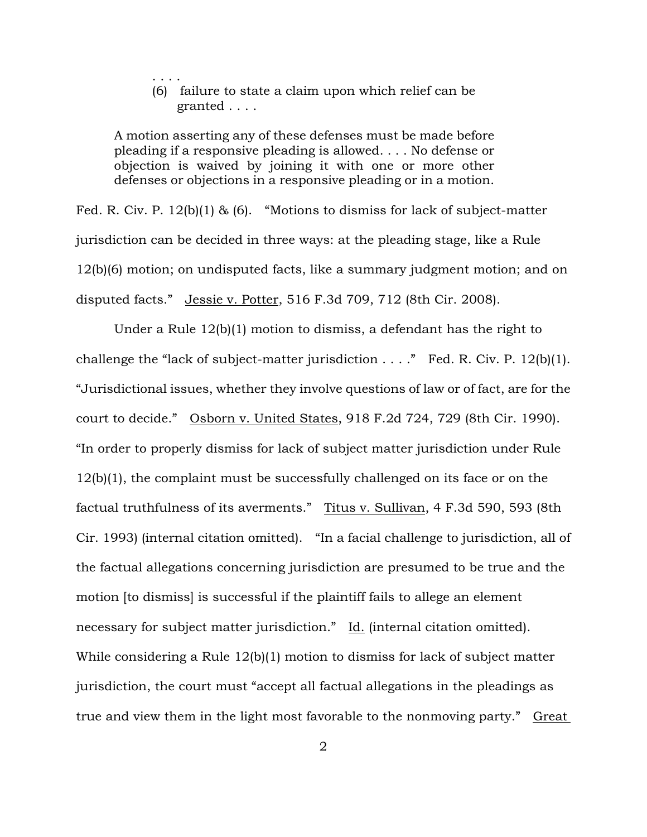. . . .

(6) failure to state a claim upon which relief can be granted . . . .

A motion asserting any of these defenses must be made before pleading if a responsive pleading is allowed. . . . No defense or objection is waived by joining it with one or more other defenses or objections in a responsive pleading or in a motion.

Fed. R. Civ. P. 12(b)(1) & (6). "Motions to dismiss for lack of subject-matter jurisdiction can be decided in three ways: at the pleading stage, like a Rule 12(b)(6) motion; on undisputed facts, like a summary judgment motion; and on disputed facts." Jessie v. Potter, 516 F.3d 709, 712 (8th Cir. 2008).

Under a Rule 12(b)(1) motion to dismiss, a defendant has the right to challenge the "lack of subject-matter jurisdiction  $\dots$ ." Fed. R. Civ. P. 12(b)(1). "Jurisdictional issues, whether they involve questions of law or of fact, are for the court to decide." Osborn v. United States, 918 F.2d 724, 729 (8th Cir. 1990). "In order to properly dismiss for lack of subject matter jurisdiction under Rule 12(b)(1), the complaint must be successfully challenged on its face or on the factual truthfulness of its averments." Titus v. Sullivan, 4 F.3d 590, 593 (8th Cir. 1993) (internal citation omitted). "In a facial challenge to jurisdiction, all of the factual allegations concerning jurisdiction are presumed to be true and the motion [to dismiss] is successful if the plaintiff fails to allege an element necessary for subject matter jurisdiction." Id. (internal citation omitted). While considering a Rule 12(b)(1) motion to dismiss for lack of subject matter jurisdiction, the court must "accept all factual allegations in the pleadings as true and view them in the light most favorable to the nonmoving party." Great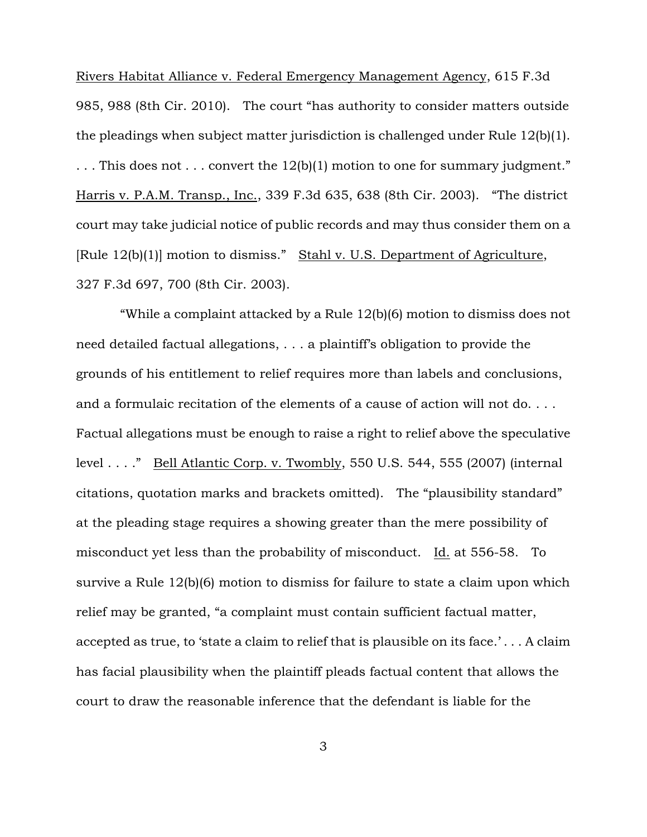Rivers Habitat Alliance v. Federal Emergency Management Agency, 615 F.3d 985, 988 (8th Cir. 2010). The court "has authority to consider matters outside the pleadings when subject matter jurisdiction is challenged under Rule 12(b)(1). . . . This does not . . . convert the 12(b)(1) motion to one for summary judgment." Harris v. P.A.M. Transp., Inc., 339 F.3d 635, 638 (8th Cir. 2003). "The district court may take judicial notice of public records and may thus consider them on a [Rule 12(b)(1)] motion to dismiss." Stahl v. U.S. Department of Agriculture, 327 F.3d 697, 700 (8th Cir. 2003).

 "While a complaint attacked by a Rule 12(b)(6) motion to dismiss does not need detailed factual allegations, . . . a plaintiff's obligation to provide the grounds of his entitlement to relief requires more than labels and conclusions, and a formulaic recitation of the elements of a cause of action will not do. . . . Factual allegations must be enough to raise a right to relief above the speculative level . . . ." Bell Atlantic Corp. v. Twombly, 550 U.S. 544, 555 (2007) (internal citations, quotation marks and brackets omitted). The "plausibility standard" at the pleading stage requires a showing greater than the mere possibility of misconduct yet less than the probability of misconduct. Id. at 556-58. To survive a Rule 12(b)(6) motion to dismiss for failure to state a claim upon which relief may be granted, "a complaint must contain sufficient factual matter, accepted as true, to 'state a claim to relief that is plausible on its face.' . . . A claim has facial plausibility when the plaintiff pleads factual content that allows the court to draw the reasonable inference that the defendant is liable for the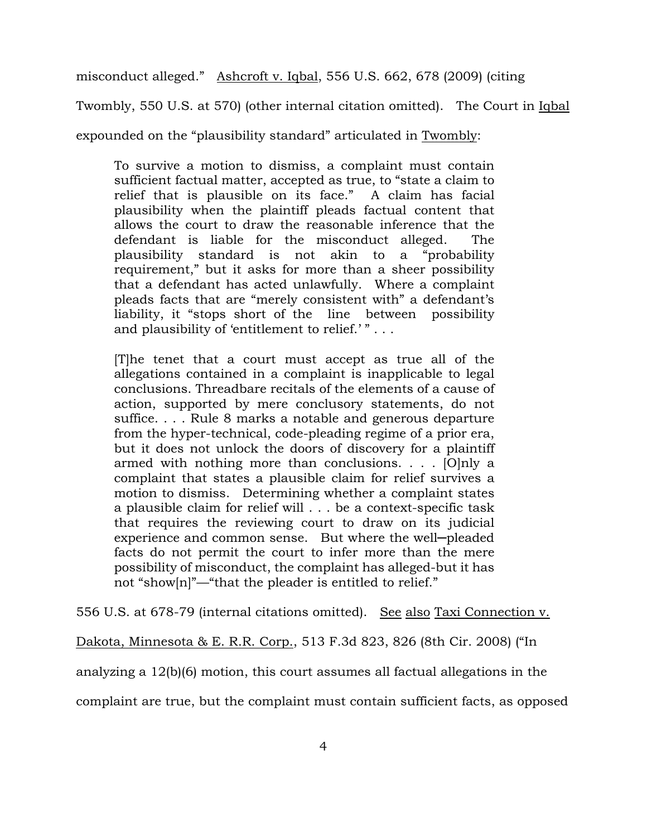misconduct alleged." Ashcroft v. Iqbal, 556 U.S. 662, 678 (2009) (citing

Twombly, 550 U.S. at 570) (other internal citation omitted). The Court in Iqbal

expounded on the "plausibility standard" articulated in Twombly:

To survive a motion to dismiss, a complaint must contain sufficient factual matter, accepted as true, to "state a claim to relief that is plausible on its face." A claim has facial plausibility when the plaintiff pleads factual content that allows the court to draw the reasonable inference that the defendant is liable for the misconduct alleged. The plausibility standard is not akin to a "probability requirement," but it asks for more than a sheer possibility that a defendant has acted unlawfully. Where a complaint pleads facts that are "merely consistent with" a defendant's liability, it "stops short of the line between possibility and plausibility of 'entitlement to relief.'"...

[T]he tenet that a court must accept as true all of the allegations contained in a complaint is inapplicable to legal conclusions. Threadbare recitals of the elements of a cause of action, supported by mere conclusory statements, do not suffice. . . . Rule 8 marks a notable and generous departure from the hyper-technical, code-pleading regime of a prior era, but it does not unlock the doors of discovery for a plaintiff armed with nothing more than conclusions. . . . [O]nly a complaint that states a plausible claim for relief survives a motion to dismiss. Determining whether a complaint states a plausible claim for relief will . . . be a context-specific task that requires the reviewing court to draw on its judicial experience and common sense. But where the well─pleaded facts do not permit the court to infer more than the mere possibility of misconduct, the complaint has alleged-but it has not "show[n]"—"that the pleader is entitled to relief."

556 U.S. at 678-79 (internal citations omitted). See also Taxi Connection v.

Dakota, Minnesota & E. R.R. Corp., 513 F.3d 823, 826 (8th Cir. 2008) ("In

analyzing a 12(b)(6) motion, this court assumes all factual allegations in the

complaint are true, but the complaint must contain sufficient facts, as opposed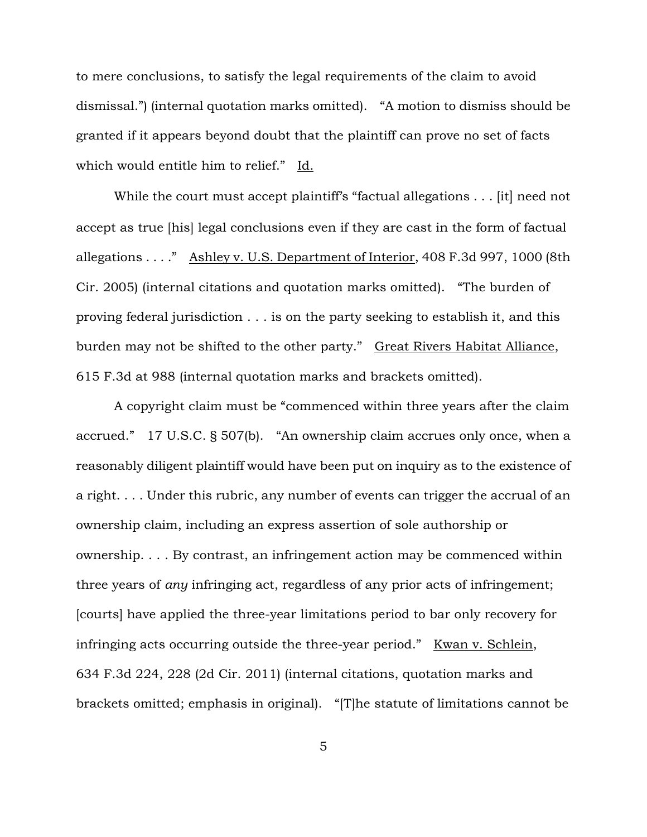to mere conclusions, to satisfy the legal requirements of the claim to avoid dismissal.") (internal quotation marks omitted). "A motion to dismiss should be granted if it appears beyond doubt that the plaintiff can prove no set of facts which would entitle him to relief." Id.

While the court must accept plaintiff's "factual allegations . . . [it] need not accept as true [his] legal conclusions even if they are cast in the form of factual allegations . . . ." Ashley v. U.S. Department of Interior, 408 F.3d 997, 1000 (8th Cir. 2005) (internal citations and quotation marks omitted). "The burden of proving federal jurisdiction . . . is on the party seeking to establish it, and this burden may not be shifted to the other party." Great Rivers Habitat Alliance, 615 F.3d at 988 (internal quotation marks and brackets omitted).

A copyright claim must be "commenced within three years after the claim accrued." 17 U.S.C. § 507(b). "An ownership claim accrues only once, when a reasonably diligent plaintiff would have been put on inquiry as to the existence of a right. . . . Under this rubric, any number of events can trigger the accrual of an ownership claim, including an express assertion of sole authorship or ownership. . . . By contrast, an infringement action may be commenced within three years of *any* infringing act, regardless of any prior acts of infringement; [courts] have applied the three-year limitations period to bar only recovery for infringing acts occurring outside the three-year period." Kwan v. Schlein, 634 F.3d 224, 228 (2d Cir. 2011) (internal citations, quotation marks and brackets omitted; emphasis in original). "[T]he statute of limitations cannot be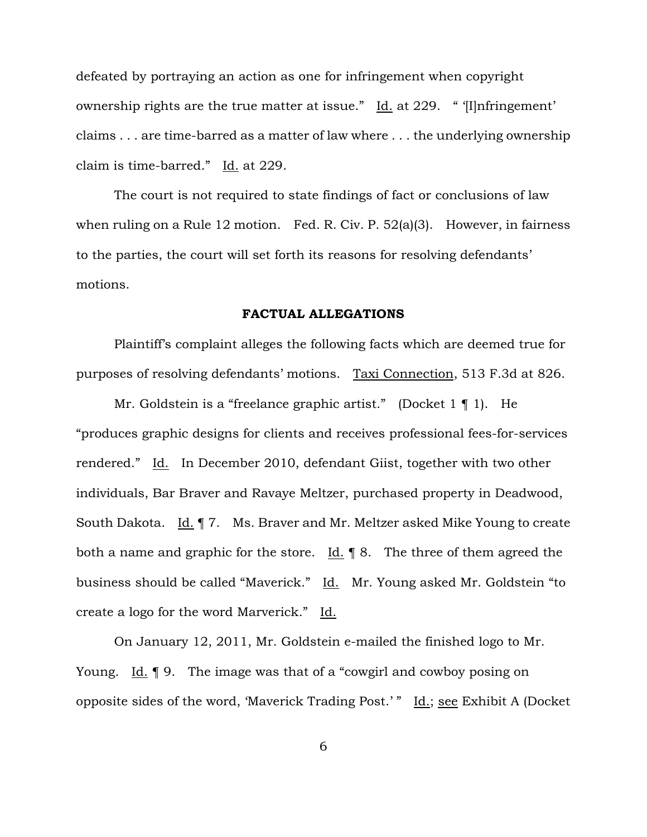defeated by portraying an action as one for infringement when copyright ownership rights are the true matter at issue." Id. at 229. " '[I]nfringement' claims . . . are time-barred as a matter of law where . . . the underlying ownership claim is time-barred." Id. at 229.

The court is not required to state findings of fact or conclusions of law when ruling on a Rule 12 motion. Fed. R. Civ. P. 52(a)(3). However, in fairness to the parties, the court will set forth its reasons for resolving defendants' motions.

## **FACTUAL ALLEGATIONS**

Plaintiff's complaint alleges the following facts which are deemed true for purposes of resolving defendants' motions. Taxi Connection, 513 F.3d at 826.

Mr. Goldstein is a "freelance graphic artist." (Docket  $1 \nvert 1$ ). He "produces graphic designs for clients and receives professional fees-for-services rendered." Id. In December 2010, defendant Giist, together with two other individuals, Bar Braver and Ravaye Meltzer, purchased property in Deadwood, South Dakota. Id. ¶ 7. Ms. Braver and Mr. Meltzer asked Mike Young to create both a name and graphic for the store. Id. ¶ 8. The three of them agreed the business should be called "Maverick." Id. Mr. Young asked Mr. Goldstein "to create a logo for the word Marverick." Id.

On January 12, 2011, Mr. Goldstein e-mailed the finished logo to Mr. Young. Id. ¶ 9. The image was that of a "cowgirl and cowboy posing on opposite sides of the word, 'Maverick Trading Post.' " Id.; see Exhibit A (Docket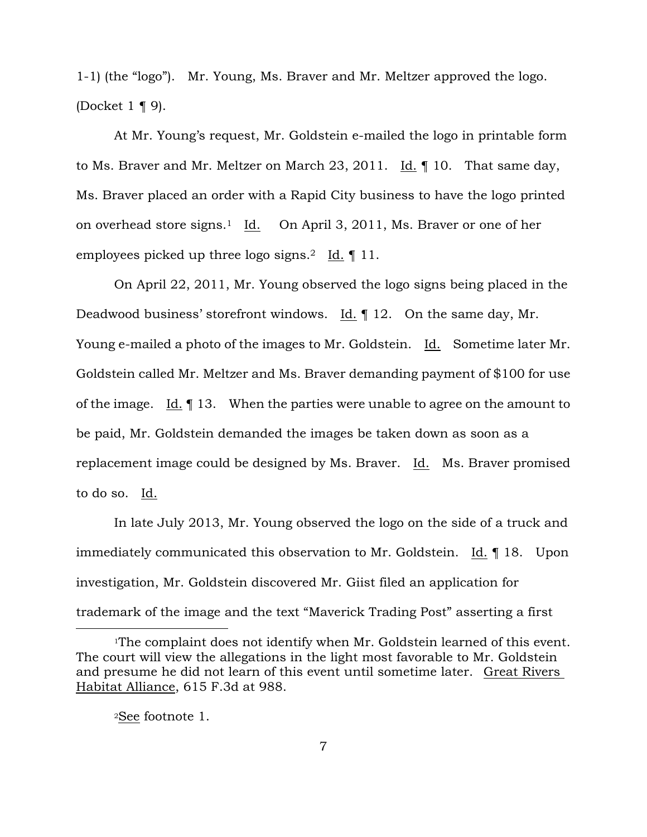1-1) (the "logo"). Mr. Young, Ms. Braver and Mr. Meltzer approved the logo. (Docket 1 ¶ 9).

At Mr. Young's request, Mr. Goldstein e-mailed the logo in printable form to Ms. Braver and Mr. Meltzer on March 23, 2011. Id. ¶ 10. That same day, Ms. Braver placed an order with a Rapid City business to have the logo printed on overhead store signs.1 Id. On April 3, 2011, Ms. Braver or one of her employees picked up three logo signs.<sup>2</sup> Id.  $\P$  11.

On April 22, 2011, Mr. Young observed the logo signs being placed in the Deadwood business' storefront windows. Id. ¶ 12. On the same day, Mr. Young e-mailed a photo of the images to Mr. Goldstein. Id. Sometime later Mr. Goldstein called Mr. Meltzer and Ms. Braver demanding payment of \$100 for use of the image. Id. ¶ 13. When the parties were unable to agree on the amount to be paid, Mr. Goldstein demanded the images be taken down as soon as a replacement image could be designed by Ms. Braver.  $Id.$  Ms. Braver promised to do so. Id.

In late July 2013, Mr. Young observed the logo on the side of a truck and immediately communicated this observation to Mr. Goldstein. Id. ¶ 18. Upon investigation, Mr. Goldstein discovered Mr. Giist filed an application for trademark of the image and the text "Maverick Trading Post" asserting a first

2See footnote 1.

 $\overline{a}$ 

<sup>1</sup>The complaint does not identify when Mr. Goldstein learned of this event. The court will view the allegations in the light most favorable to Mr. Goldstein and presume he did not learn of this event until sometime later. Great Rivers Habitat Alliance, 615 F.3d at 988.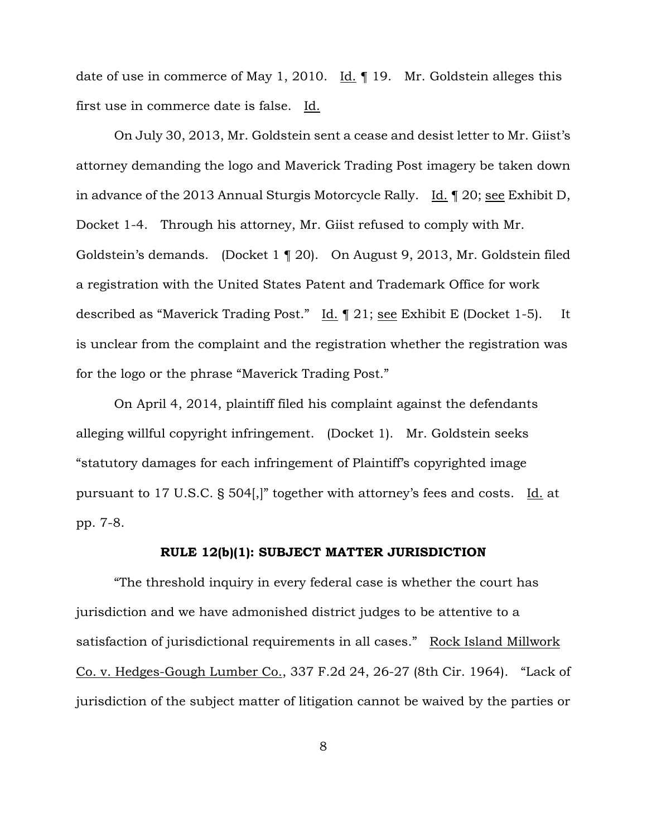date of use in commerce of May 1, 2010. Id. ¶ 19. Mr. Goldstein alleges this first use in commerce date is false. Id.

On July 30, 2013, Mr. Goldstein sent a cease and desist letter to Mr. Giist's attorney demanding the logo and Maverick Trading Post imagery be taken down in advance of the 2013 Annual Sturgis Motorcycle Rally. Id. ¶ 20; see Exhibit D, Docket 1-4. Through his attorney, Mr. Giist refused to comply with Mr. Goldstein's demands. (Docket 1 ¶ 20). On August 9, 2013, Mr. Goldstein filed a registration with the United States Patent and Trademark Office for work described as "Maverick Trading Post." Id. ¶ 21; see Exhibit E (Docket 1-5). It is unclear from the complaint and the registration whether the registration was for the logo or the phrase "Maverick Trading Post."

On April 4, 2014, plaintiff filed his complaint against the defendants alleging willful copyright infringement. (Docket 1). Mr. Goldstein seeks "statutory damages for each infringement of Plaintiff's copyrighted image pursuant to 17 U.S.C. § 504[,]" together with attorney's fees and costs. Id. at pp. 7-8.

## **RULE 12(b)(1): SUBJECT MATTER JURISDICTION**

"The threshold inquiry in every federal case is whether the court has jurisdiction and we have admonished district judges to be attentive to a satisfaction of jurisdictional requirements in all cases." Rock Island Millwork Co. v. Hedges-Gough Lumber Co., 337 F.2d 24, 26-27 (8th Cir. 1964). "Lack of jurisdiction of the subject matter of litigation cannot be waived by the parties or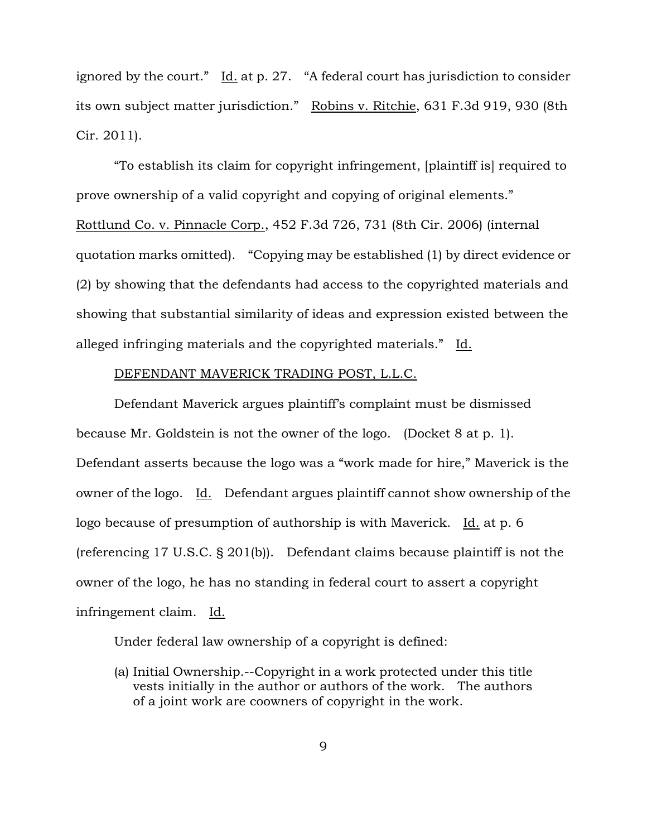ignored by the court." Id. at p. 27. "A federal court has jurisdiction to consider its own subject matter jurisdiction." Robins v. Ritchie, 631 F.3d 919, 930 (8th Cir. 2011).

"To establish its claim for copyright infringement, [plaintiff is] required to prove ownership of a valid copyright and copying of original elements." Rottlund Co. v. Pinnacle Corp., 452 F.3d 726, 731 (8th Cir. 2006) (internal quotation marks omitted). "Copying may be established (1) by direct evidence or (2) by showing that the defendants had access to the copyrighted materials and showing that substantial similarity of ideas and expression existed between the alleged infringing materials and the copyrighted materials." Id.

## DEFENDANT MAVERICK TRADING POST, L.L.C.

Defendant Maverick argues plaintiff's complaint must be dismissed because Mr. Goldstein is not the owner of the logo. (Docket 8 at p. 1). Defendant asserts because the logo was a "work made for hire," Maverick is the owner of the logo. Id. Defendant argues plaintiff cannot show ownership of the logo because of presumption of authorship is with Maverick. Id. at p. 6 (referencing 17 U.S.C. § 201(b)). Defendant claims because plaintiff is not the owner of the logo, he has no standing in federal court to assert a copyright infringement claim. Id.

Under federal law ownership of a copyright is defined:

(a) Initial Ownership.--Copyright in a work protected under this title vests initially in the author or authors of the work. The authors of a joint work are coowners of copyright in the work.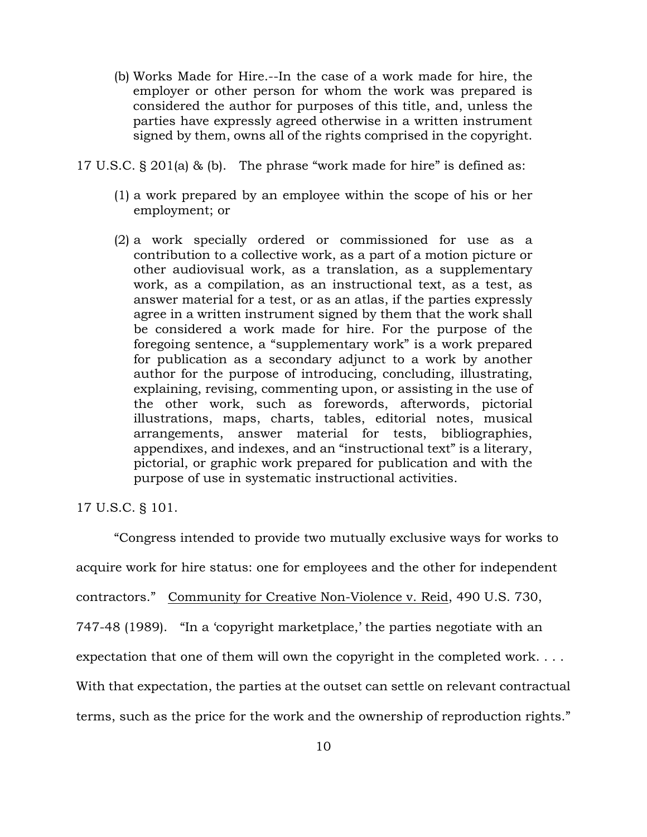(b) Works Made for Hire.--In the case of a work made for hire, the employer or other person for whom the work was prepared is considered the author for purposes of this title, and, unless the parties have expressly agreed otherwise in a written instrument signed by them, owns all of the rights comprised in the copyright.

17 U.S.C. § 201(a) & (b). The phrase "work made for hire" is defined as:

- (1) a work prepared by an employee within the scope of his or her employment; or
- (2) a work specially ordered or commissioned for use as a contribution to a collective work, as a part of a motion picture or other audiovisual work, as a translation, as a supplementary work, as a compilation, as an instructional text, as a test, as answer material for a test, or as an atlas, if the parties expressly agree in a written instrument signed by them that the work shall be considered a work made for hire. For the purpose of the foregoing sentence, a "supplementary work" is a work prepared for publication as a secondary adjunct to a work by another author for the purpose of introducing, concluding, illustrating, explaining, revising, commenting upon, or assisting in the use of the other work, such as forewords, afterwords, pictorial illustrations, maps, charts, tables, editorial notes, musical arrangements, answer material for tests, bibliographies, appendixes, and indexes, and an "instructional text" is a literary, pictorial, or graphic work prepared for publication and with the purpose of use in systematic instructional activities.

17 U.S.C. § 101.

"Congress intended to provide two mutually exclusive ways for works to acquire work for hire status: one for employees and the other for independent contractors." Community for Creative Non-Violence v. Reid, 490 U.S. 730, 747-48 (1989). "In a 'copyright marketplace,' the parties negotiate with an expectation that one of them will own the copyright in the completed work. . . . With that expectation, the parties at the outset can settle on relevant contractual terms, such as the price for the work and the ownership of reproduction rights."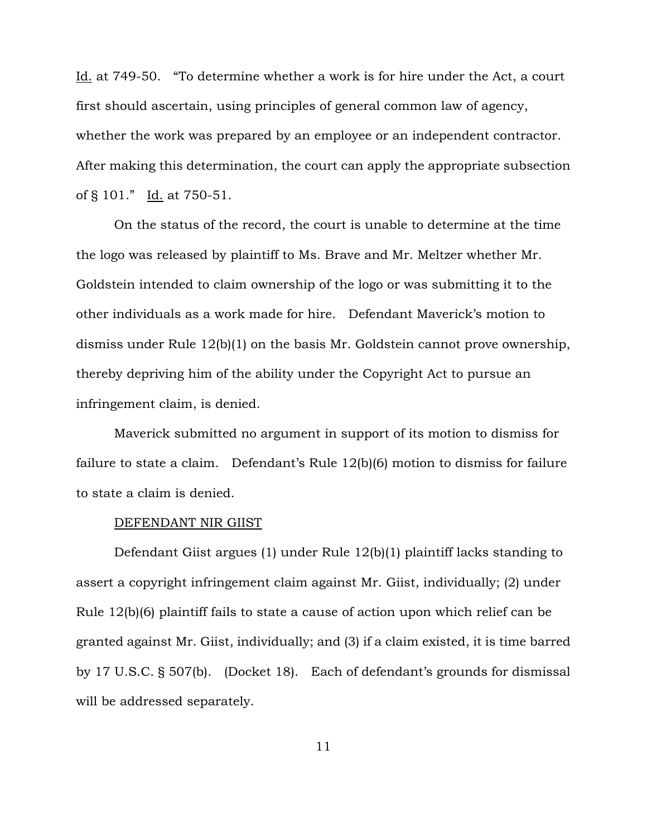Id. at 749-50. "To determine whether a work is for hire under the Act, a court first should ascertain, using principles of general common law of agency, whether the work was prepared by an employee or an independent contractor. After making this determination, the court can apply the appropriate subsection of § 101." Id. at 750-51.

On the status of the record, the court is unable to determine at the time the logo was released by plaintiff to Ms. Brave and Mr. Meltzer whether Mr. Goldstein intended to claim ownership of the logo or was submitting it to the other individuals as a work made for hire. Defendant Maverick's motion to dismiss under Rule 12(b)(1) on the basis Mr. Goldstein cannot prove ownership, thereby depriving him of the ability under the Copyright Act to pursue an infringement claim, is denied.

Maverick submitted no argument in support of its motion to dismiss for failure to state a claim. Defendant's Rule 12(b)(6) motion to dismiss for failure to state a claim is denied.

## DEFENDANT NIR GIIST

Defendant Giist argues (1) under Rule 12(b)(1) plaintiff lacks standing to assert a copyright infringement claim against Mr. Giist, individually; (2) under Rule 12(b)(6) plaintiff fails to state a cause of action upon which relief can be granted against Mr. Giist, individually; and (3) if a claim existed, it is time barred by 17 U.S.C. § 507(b). (Docket 18). Each of defendant's grounds for dismissal will be addressed separately.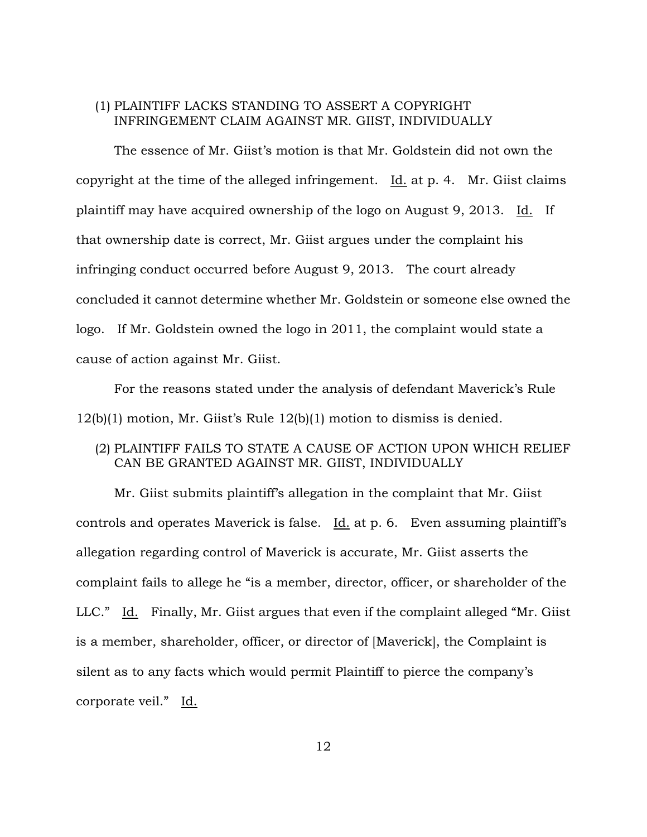# (1) PLAINTIFF LACKS STANDING TO ASSERT A COPYRIGHT INFRINGEMENT CLAIM AGAINST MR. GIIST, INDIVIDUALLY

The essence of Mr. Giist's motion is that Mr. Goldstein did not own the copyright at the time of the alleged infringement. Id. at p. 4. Mr. Giist claims plaintiff may have acquired ownership of the logo on August 9, 2013. Id. If that ownership date is correct, Mr. Giist argues under the complaint his infringing conduct occurred before August 9, 2013. The court already concluded it cannot determine whether Mr. Goldstein or someone else owned the logo. If Mr. Goldstein owned the logo in 2011, the complaint would state a cause of action against Mr. Giist.

For the reasons stated under the analysis of defendant Maverick's Rule 12(b)(1) motion, Mr. Giist's Rule 12(b)(1) motion to dismiss is denied.

# (2) PLAINTIFF FAILS TO STATE A CAUSE OF ACTION UPON WHICH RELIEF CAN BE GRANTED AGAINST MR. GIIST, INDIVIDUALLY

Mr. Giist submits plaintiff's allegation in the complaint that Mr. Giist controls and operates Maverick is false. Id. at p. 6. Even assuming plaintiff's allegation regarding control of Maverick is accurate, Mr. Giist asserts the complaint fails to allege he "is a member, director, officer, or shareholder of the LLC." Id. Finally, Mr. Giist argues that even if the complaint alleged "Mr. Giist is a member, shareholder, officer, or director of [Maverick], the Complaint is silent as to any facts which would permit Plaintiff to pierce the company's corporate veil." Id.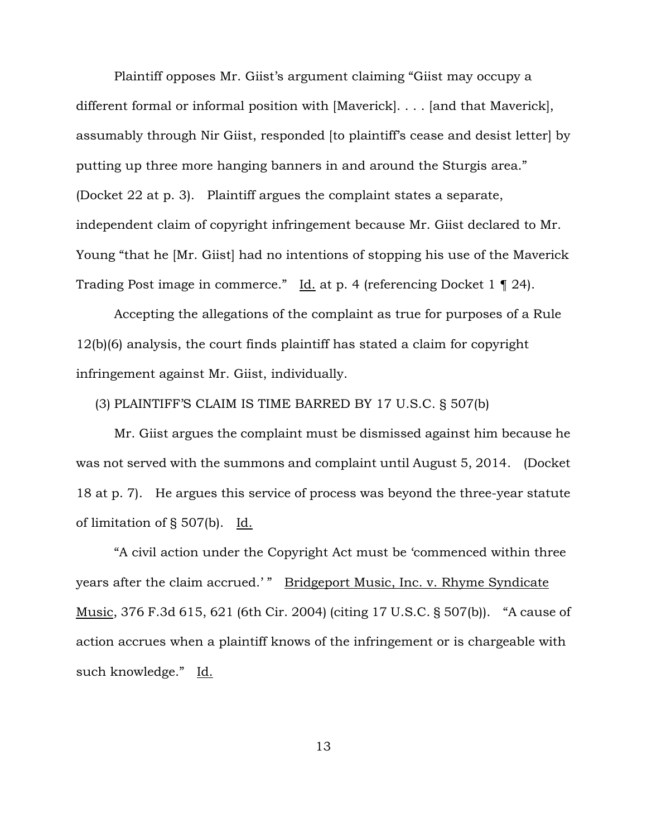Plaintiff opposes Mr. Giist's argument claiming "Giist may occupy a different formal or informal position with [Maverick]. . . . [and that Maverick], assumably through Nir Giist, responded [to plaintiff's cease and desist letter] by putting up three more hanging banners in and around the Sturgis area." (Docket 22 at p. 3). Plaintiff argues the complaint states a separate, independent claim of copyright infringement because Mr. Giist declared to Mr. Young "that he [Mr. Giist] had no intentions of stopping his use of the Maverick Trading Post image in commerce." Id. at p. 4 (referencing Docket 1 ¶ 24).

Accepting the allegations of the complaint as true for purposes of a Rule 12(b)(6) analysis, the court finds plaintiff has stated a claim for copyright infringement against Mr. Giist, individually.

(3) PLAINTIFF'S CLAIM IS TIME BARRED BY 17 U.S.C. § 507(b)

Mr. Giist argues the complaint must be dismissed against him because he was not served with the summons and complaint until August 5, 2014. (Docket 18 at p. 7). He argues this service of process was beyond the three-year statute of limitation of § 507(b). Id.

"A civil action under the Copyright Act must be 'commenced within three years after the claim accrued.'" Bridgeport Music, Inc. v. Rhyme Syndicate Music, 376 F.3d 615, 621 (6th Cir. 2004) (citing 17 U.S.C. § 507(b)). "A cause of action accrues when a plaintiff knows of the infringement or is chargeable with such knowledge." Id.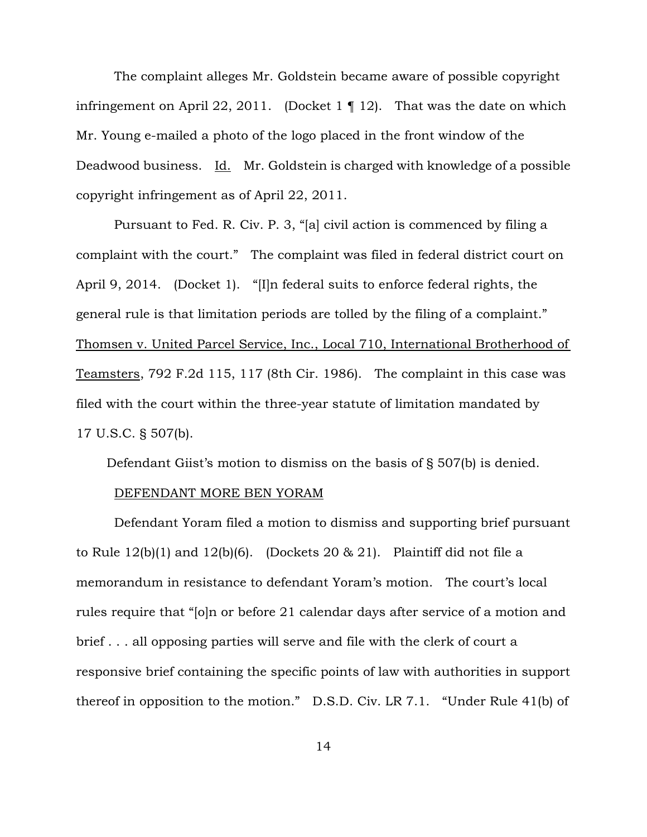The complaint alleges Mr. Goldstein became aware of possible copyright infringement on April 22, 2011. (Docket  $1 \nparallel 12$ ). That was the date on which Mr. Young e-mailed a photo of the logo placed in the front window of the Deadwood business. Id. Mr. Goldstein is charged with knowledge of a possible copyright infringement as of April 22, 2011.

Pursuant to Fed. R. Civ. P. 3, "[a] civil action is commenced by filing a complaint with the court." The complaint was filed in federal district court on April 9, 2014. (Docket 1). "[I]n federal suits to enforce federal rights, the general rule is that limitation periods are tolled by the filing of a complaint." Thomsen v. United Parcel Service, Inc., Local 710, International Brotherhood of Teamsters, 792 F.2d 115, 117 (8th Cir. 1986). The complaint in this case was filed with the court within the three-year statute of limitation mandated by 17 U.S.C. § 507(b).

Defendant Giist's motion to dismiss on the basis of § 507(b) is denied.

#### DEFENDANT MORE BEN YORAM

Defendant Yoram filed a motion to dismiss and supporting brief pursuant to Rule  $12(b)(1)$  and  $12(b)(6)$ . (Dockets  $20 & 21$ ). Plaintiff did not file a memorandum in resistance to defendant Yoram's motion. The court's local rules require that "[o]n or before 21 calendar days after service of a motion and brief . . . all opposing parties will serve and file with the clerk of court a responsive brief containing the specific points of law with authorities in support thereof in opposition to the motion." D.S.D. Civ. LR 7.1. "Under Rule 41(b) of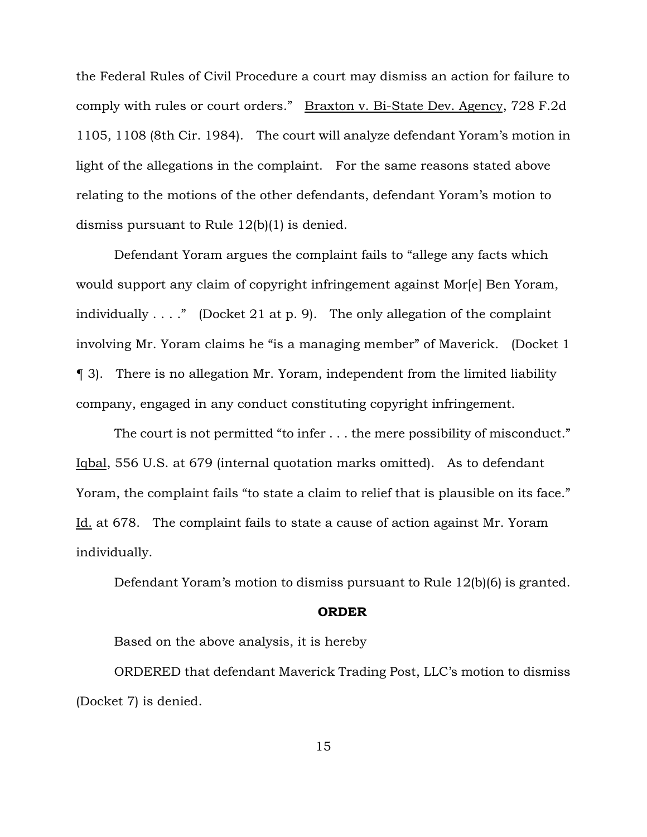the Federal Rules of Civil Procedure a court may dismiss an action for failure to comply with rules or court orders." Braxton v. Bi-State Dev. Agency, 728 F.2d 1105, 1108 (8th Cir. 1984). The court will analyze defendant Yoram's motion in light of the allegations in the complaint. For the same reasons stated above relating to the motions of the other defendants, defendant Yoram's motion to dismiss pursuant to Rule 12(b)(1) is denied.

Defendant Yoram argues the complaint fails to "allege any facts which would support any claim of copyright infringement against Mor[e] Ben Yoram, individually  $\dots$ ." (Docket 21 at p. 9). The only allegation of the complaint involving Mr. Yoram claims he "is a managing member" of Maverick. (Docket 1 ¶ 3). There is no allegation Mr. Yoram, independent from the limited liability company, engaged in any conduct constituting copyright infringement.

The court is not permitted "to infer . . . the mere possibility of misconduct." Iqbal, 556 U.S. at 679 (internal quotation marks omitted). As to defendant Yoram, the complaint fails "to state a claim to relief that is plausible on its face." Id. at 678. The complaint fails to state a cause of action against Mr. Yoram individually.

Defendant Yoram's motion to dismiss pursuant to Rule 12(b)(6) is granted.

#### **ORDER**

Based on the above analysis, it is hereby

ORDERED that defendant Maverick Trading Post, LLC's motion to dismiss (Docket 7) is denied.